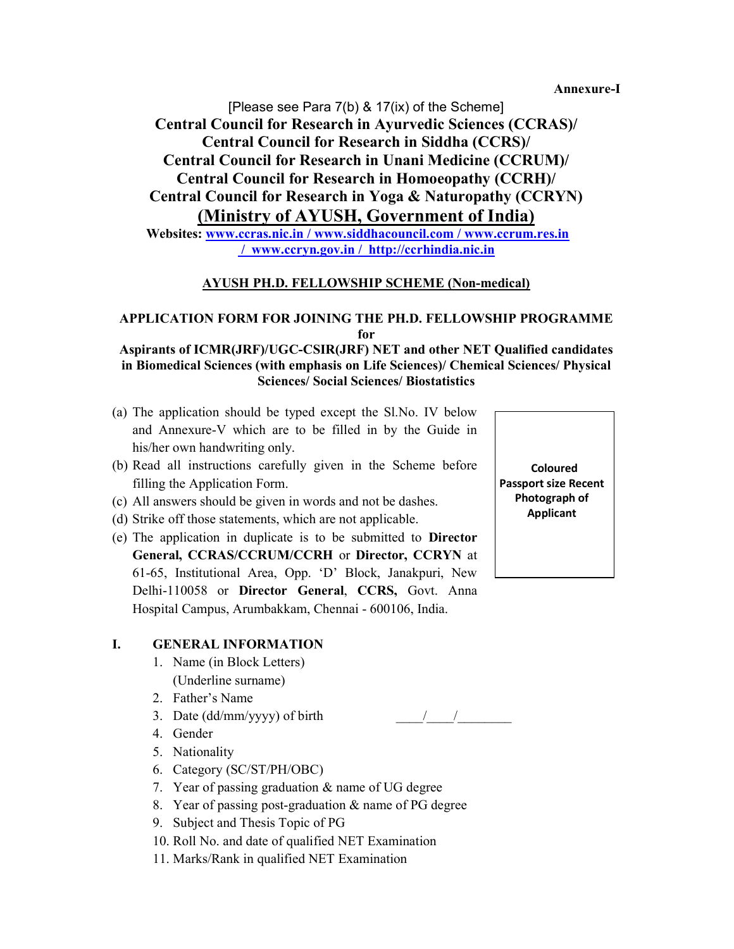Annexure-I

[Please see Para 7(b) & 17(ix) of the Scheme] Central Council for Research in Ayurvedic Sciences (CCRAS)/ Central Council for Research in Siddha (CCRS)/ Central Council for Research in Unani Medicine (CCRUM)/ Central Council for Research in Homoeopathy (CCRH)/ Central Council for Research in Yoga & Naturopathy (CCRYN) (Ministry of AYUSH, Government of India) Websites: www.ccras.nic.in / www.siddhacouncil.com / www.ccrum.res.in

/ www.ccryn.gov.in / http://ccrhindia.nic.in

### AYUSH PH.D. FELLOWSHIP SCHEME (Non-medical)

### APPLICATION FORM FOR JOINING THE PH.D. FELLOWSHIP PROGRAMME for

#### Aspirants of ICMR(JRF)/UGC-CSIR(JRF) NET and other NET Qualified candidates in Biomedical Sciences (with emphasis on Life Sciences)/ Chemical Sciences/ Physical Sciences/ Social Sciences/ Biostatistics

- (a) The application should be typed except the Sl.No. IV below and Annexure-V which are to be filled in by the Guide in his/her own handwriting only.
- (b) Read all instructions carefully given in the Scheme before filling the Application Form.
- (c) All answers should be given in words and not be dashes.
- (d) Strike off those statements, which are not applicable.
- (e) The application in duplicate is to be submitted to Director General, CCRAS/CCRUM/CCRH or Director, CCRYN at 61-65, Institutional Area, Opp. 'D' Block, Janakpuri, New Delhi-110058 or Director General, CCRS, Govt. Anna Hospital Campus, Arumbakkam, Chennai - 600106, India.

#### I. GENERAL INFORMATION

- 1. Name (in Block Letters) (Underline surname)
- 2. Father's Name
- 3. Date (dd/mm/yyyy) of birth  $\frac{1}{2}$
- 4. Gender
- 5. Nationality
- 6. Category (SC/ST/PH/OBC)
- 7. Year of passing graduation & name of UG degree
- 8. Year of passing post-graduation & name of PG degree
- 9. Subject and Thesis Topic of PG
- 10. Roll No. and date of qualified NET Examination
- 11. Marks/Rank in qualified NET Examination

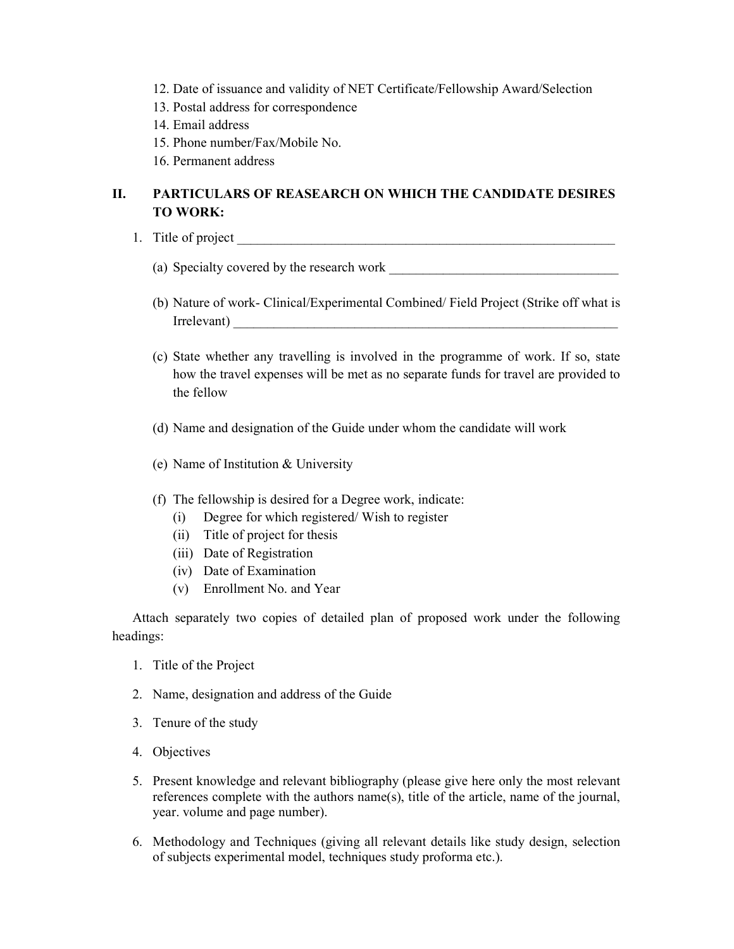- 12. Date of issuance and validity of NET Certificate/Fellowship Award/Selection
- 13. Postal address for correspondence
- 14. Email address
- 15. Phone number/Fax/Mobile No.
- 16. Permanent address

## II. PARTICULARS OF REASEARCH ON WHICH THE CANDIDATE DESIRES TO WORK:

- 1. Title of project
	- (a) Specialty covered by the research work \_\_\_\_\_\_\_\_\_\_\_\_\_\_\_\_\_\_\_\_\_\_\_\_\_\_\_\_\_\_\_\_\_\_
	- (b) Nature of work- Clinical/Experimental Combined/ Field Project (Strike off what is Irrelevant)
	- (c) State whether any travelling is involved in the programme of work. If so, state how the travel expenses will be met as no separate funds for travel are provided to the fellow
	- (d) Name and designation of the Guide under whom the candidate will work
	- (e) Name of Institution & University
	- (f) The fellowship is desired for a Degree work, indicate:
		- (i) Degree for which registered/ Wish to register
		- (ii) Title of project for thesis
		- (iii) Date of Registration
		- (iv) Date of Examination
		- (v) Enrollment No. and Year

Attach separately two copies of detailed plan of proposed work under the following headings:

- 1. Title of the Project
- 2. Name, designation and address of the Guide
- 3. Tenure of the study
- 4. Objectives
- 5. Present knowledge and relevant bibliography (please give here only the most relevant references complete with the authors name(s), title of the article, name of the journal, year. volume and page number).
- 6. Methodology and Techniques (giving all relevant details like study design, selection of subjects experimental model, techniques study proforma etc.).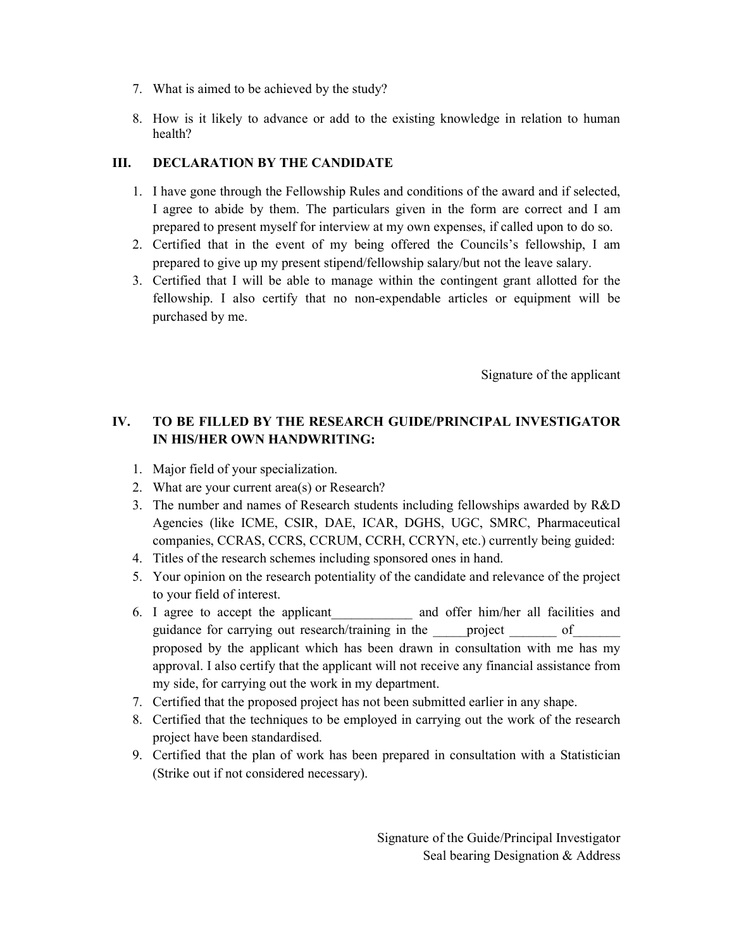- 7. What is aimed to be achieved by the study?
- 8. How is it likely to advance or add to the existing knowledge in relation to human health?

#### III. DECLARATION BY THE CANDIDATE

- 1. I have gone through the Fellowship Rules and conditions of the award and if selected, I agree to abide by them. The particulars given in the form are correct and I am prepared to present myself for interview at my own expenses, if called upon to do so.
- 2. Certified that in the event of my being offered the Councils's fellowship, I am prepared to give up my present stipend/fellowship salary/but not the leave salary.
- 3. Certified that I will be able to manage within the contingent grant allotted for the fellowship. I also certify that no non-expendable articles or equipment will be purchased by me.

Signature of the applicant

## IV. TO BE FILLED BY THE RESEARCH GUIDE/PRINCIPAL INVESTIGATOR IN HIS/HER OWN HANDWRITING:

- 1. Major field of your specialization.
- 2. What are your current area(s) or Research?
- 3. The number and names of Research students including fellowships awarded by R&D Agencies (like ICME, CSIR, DAE, ICAR, DGHS, UGC, SMRC, Pharmaceutical companies, CCRAS, CCRS, CCRUM, CCRH, CCRYN, etc.) currently being guided:
- 4. Titles of the research schemes including sponsored ones in hand.
- 5. Your opinion on the research potentiality of the candidate and relevance of the project to your field of interest.
- 6. I agree to accept the applicant\_\_\_\_\_\_\_\_\_\_\_\_ and offer him/her all facilities and guidance for carrying out research/training in the project of proposed by the applicant which has been drawn in consultation with me has my approval. I also certify that the applicant will not receive any financial assistance from my side, for carrying out the work in my department.
- 7. Certified that the proposed project has not been submitted earlier in any shape.
- 8. Certified that the techniques to be employed in carrying out the work of the research project have been standardised.
- 9. Certified that the plan of work has been prepared in consultation with a Statistician (Strike out if not considered necessary).

Signature of the Guide/Principal Investigator Seal bearing Designation & Address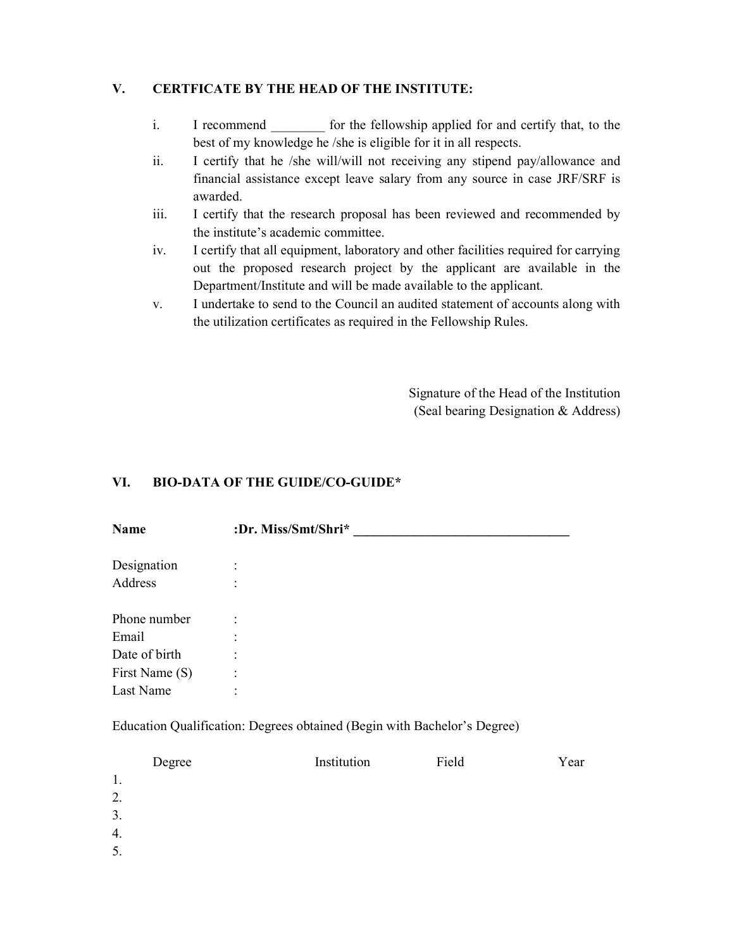### V. CERTFICATE BY THE HEAD OF THE INSTITUTE:

- i. I recommend for the fellowship applied for and certify that, to the best of my knowledge he /she is eligible for it in all respects.
- ii. I certify that he /she will/will not receiving any stipend pay/allowance and financial assistance except leave salary from any source in case JRF/SRF is awarded.
- iii. I certify that the research proposal has been reviewed and recommended by the institute's academic committee.
- iv. I certify that all equipment, laboratory and other facilities required for carrying out the proposed research project by the applicant are available in the Department/Institute and will be made available to the applicant.
- v. I undertake to send to the Council an audited statement of accounts along with the utilization certificates as required in the Fellowship Rules.

Signature of the Head of the Institution (Seal bearing Designation & Address)

### VI. BIO-DATA OF THE GUIDE/CO-GUIDE\*

| <b>Name</b>    | :Dr. Miss/Smt/Shri* |
|----------------|---------------------|
| Designation    | $\bullet$           |
| Address        |                     |
| Phone number   | ٠                   |
| Email          |                     |
| Date of birth  | ٠                   |
| First Name (S) | ٠<br>$\cdot$        |
| Last Name      | ٠<br>$\cdot$        |

Education Qualification: Degrees obtained (Begin with Bachelor's Degree)

| Degree | Institution | Field | Year |
|--------|-------------|-------|------|
| 1.     |             |       |      |
| 2.     |             |       |      |
| 3.     |             |       |      |
| 4.     |             |       |      |
| 5.     |             |       |      |